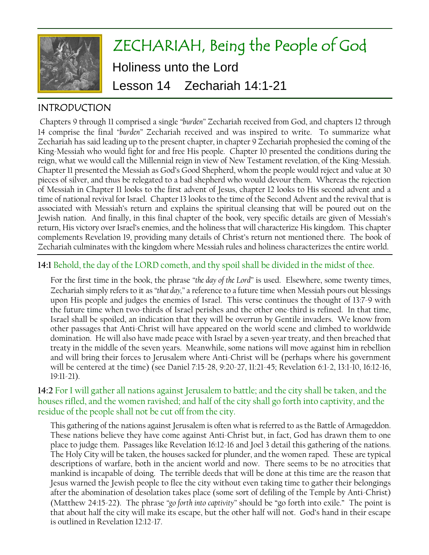

# ZECHARIAH, Being the People of God Holiness unto the Lord Lesson 14 Zechariah 14:1-21

# INTRODUCTION

Chapters 9 through 11 comprised a single *"burden"* Zechariah received from God, and chapters 12 through 14 comprise the final *"burden"* Zechariah received and was inspired to write. To summarize what Zechariah has said leading up to the present chapter, in chapter 9 Zechariah prophesied the coming of the King-Messiah who would fight for and free His people. Chapter 10 presented the conditions during the reign, what we would call the Millennial reign in view of New Testament revelation, of the King-Messiah. Chapter 11 presented the Messiah as God's Good Shepherd, whom the people would reject and value at 30 pieces of silver, and thus be relegated to a bad shepherd who would devour them. Whereas the rejection of Messiah in Chapter 11 looks to the first advent of Jesus, chapter 12 looks to His second advent and a time of national revival for Israel. Chapter 13 looks to the time of the Second Advent and the revival that is associated with Messiah's return and explains the spiritual cleansing that will be poured out on the Jewish nation. And finally, in this final chapter of the book, very specific details are given of Messiah's return, His victory over Israel's enemies, and the holiness that will characterize His kingdom. This chapter complements Revelation 19, providing many details of Christ's return not mentioned there. The book of Zechariah culminates with the kingdom where Messiah rules and holiness characterizes the entire world.

## **14:1** Behold, the day of the LORD cometh, and thy spoil shall be divided in the midst of thee.

For the first time in the book, the phrase *"the day of the Lord"* is used. Elsewhere, some twenty times, Zechariah simply refers to it as *"that day,"* a reference to a future time when Messiah pours out blessings upon His people and judges the enemies of Israel. This verse continues the thought of 13:7-9 with the future time when two-thirds of Israel perishes and the other one-third is refined. In that time, Israel shall be spoiled, an indication that they will be overrun by Gentile invaders. We know from other passages that Anti-Christ will have appeared on the world scene and climbed to worldwide domination. He will also have made peace with Israel by a seven-year treaty, and then breached that treaty in the middle of the seven years. Meanwhile, some nations will move against him in rebellion and will bring their forces to Jerusalem where Anti-Christ will be (perhaps where his government will be centered at the time) (see Daniel 7:15-28, 9:20-27, 11:21-45; Revelation 6:1-2, 13:1-10, 16:12-16, 19:11-21).

#### **14:2** For I will gather all nations against Jerusalem to battle; and the city shall be taken, and the houses rifled, and the women ravished; and half of the city shall go forth into captivity, and the residue of the people shall not be cut off from the city.

This gathering of the nations against Jerusalem is often what is referred to as the Battle of Armageddon. These nations believe they have come against Anti-Christ but, in fact, God has drawn them to one place to judge them. Passages like Revelation 16:12-16 and Joel 3 detail this gathering of the nations. The Holy City will be taken, the houses sacked for plunder, and the women raped. These are typical descriptions of warfare, both in the ancient world and now. There seems to be no atrocities that mankind is incapable of doing. The terrible deeds that will be done at this time are the reason that Jesus warned the Jewish people to flee the city without even taking time to gather their belongings after the abomination of desolation takes place (some sort of defiling of the Temple by Anti-Christ) (Matthew 24:15-22). The phrase *"go forth into captivity"* should be "go forth into exile." The point is that about half the city will make its escape, but the other half will not. God's hand in their escape is outlined in Revelation 12:12-17.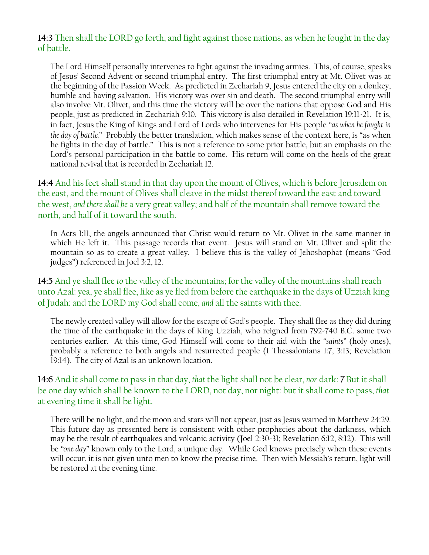#### **14:3** Then shall the LORD go forth, and fight against those nations, as when he fought in the day of battle.

The Lord Himself personally intervenes to fight against the invading armies. This, of course, speaks of Jesus' Second Advent or second triumphal entry. The first triumphal entry at Mt. Olivet was at the beginning of the Passion Week. As predicted in Zechariah 9, Jesus entered the city on a donkey, humble and having salvation. His victory was over sin and death. The second triumphal entry will also involve Mt. Olivet, and this time the victory will be over the nations that oppose God and His people, just as predicted in Zechariah 9:10. This victory is also detailed in Revelation 19:11-21. It is, in fact, Jesus the King of Kings and Lord of Lords who intervenes for His people *"as when he fought in the day of battle."* Probably the better translation, which makes sense of the context here, is "as when he fights in the day of battle." This is not a reference to some prior battle, but an emphasis on the Lord's personal participation in the battle to come. His return will come on the heels of the great national revival that is recorded in Zechariah 12.

**14:4** And his feet shall stand in that day upon the mount of Olives, which *is* before Jerusalem on the east, and the mount of Olives shall cleave in the midst thereof toward the east and toward the west, *and there shall be* a very great valley; and half of the mountain shall remove toward the north, and half of it toward the south.

In Acts 1:11, the angels announced that Christ would return to Mt. Olivet in the same manner in which He left it. This passage records that event. Jesus will stand on Mt. Olivet and split the mountain so as to create a great valley. I believe this is the valley of Jehoshophat (means "God judges") referenced in Joel 3:2, 12.

**14:5** And ye shall flee *to* the valley of the mountains; for the valley of the mountains shall reach unto Azal: yea, ye shall flee, like as ye fled from before the earthquake in the days of Uzziah king of Judah: and the LORD my God shall come, *and* all the saints with thee.

The newly created valley will allow for the escape of God's people. They shall flee as they did during the time of the earthquake in the days of King Uzziah, who reigned from 792-740 B.C. some two centuries earlier. At this time, God Himself will come to their aid with the *"saints"* (holy ones), probably a reference to both angels and resurrected people (1 Thessalonians 1:7, 3:13; Revelation 19:14). The city of Azal is an unknown location.

## **14:6** And it shall come to pass in that day, *that* the light shall not be clear, *nor* dark: **7** But it shall be one day which shall be known to the LORD, not day, nor night: but it shall come to pass, *that* at evening time it shall be light.

There will be no light, and the moon and stars will not appear, just as Jesus warned in Matthew 24:29. This future day as presented here is consistent with other prophecies about the darkness, which may be the result of earthquakes and volcanic activity (Joel 2:30-31; Revelation 6:12, 8:12). This will be *"one day"* known only to the Lord, a unique day. While God knows precisely when these events will occur, it is not given unto men to know the precise time. Then with Messiah's return, light will be restored at the evening time.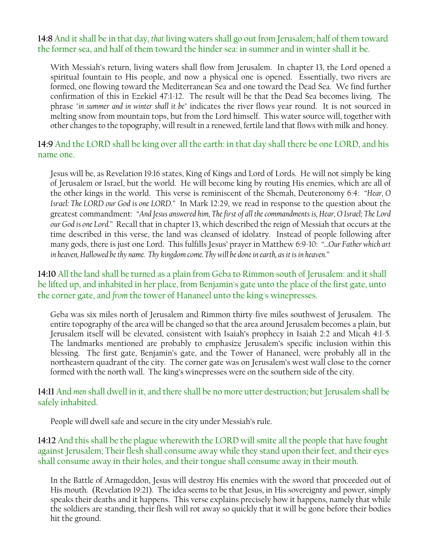**14:8** And it shall be in that day, *that* living waters shall go out from Jerusalem; half of them toward the former sea, and half of them toward the hinder sea: in summer and in winter shall it be.

With Messiah's return, living waters shall flow from Jerusalem. In chapter 13, the Lord opened a spiritual fountain to His people, and now a physical one is opened. Essentially, two rivers are formed, one flowing toward the Mediterranean Sea and one toward the Dead Sea. We find further confirmation of this in Ezekiel 47:1-12. The result will be that the Dead Sea becomes living. The phrase *"in summer and in winter shall it be"* indicates the river flows year round. It is not sourced in melting snow from mountain tops, but from the Lord himself. This water source will, together with other changes to the topography, will result in a renewed, fertile land that flows with milk and honey.

**14:9** And the LORD shall be king over all the earth: in that day shall there be one LORD, and his name one.

Jesus will be, as Revelation 19:16 states, King of Kings and Lord of Lords. He will not simply be king of Jerusalem or Israel, but the world. He will become king by routing His enemies, which are all of the other kings in the world. This verse is reminiscent of the Shemah, Deuteronomy 6:4: *"Hear, O Israel: The LORD our God is one LORD."* In Mark 12:29, we read in response to the question about the greatest commandment: *"And Jesus answered him, The first of all the commandments is, Hear, O Israel; The Lord our God is one Lord."* Recall that in chapter 13, which described the reign of Messiah that occurs at the time described in this verse, the land was cleansed of idolatry. Instead of people following after many gods, there is just one Lord. This fulfills Jesus' prayer in Matthew 6:9-10: *"…Our Father which art in heaven, Hallowed be thy name. Thy kingdom come. Thy will be done in earth, as it is in heaven."*

**14:10** All the land shall be turned as a plain from Geba to Rimmon south of Jerusalem: and it shall be lifted up, and inhabited in her place, from Benjamin's gate unto the place of the first gate, unto the corner gate, and *from* the tower of Hananeel unto the king's winepresses.

Geba was six miles north of Jerusalem and Rimmon thirty-five miles southwest of Jerusalem. The entire topography of the area will be changed so that the area around Jerusalem becomes a plain, but Jerusalem itself will be elevated, consistent with Isaiah's prophecy in Isaiah 2:2 and Micah 4:1-5. The landmarks mentioned are probably to emphasize Jerusalem's specific inclusion within this blessing. The first gate, Benjamin's gate, and the Tower of Hananeel, were probably all in the northeastern quadrant of the city. The corner gate was on Jerusalem's west wall close to the corner formed with the north wall. The king's winepresses were on the southern side of the city.

#### **14:11** And *men* shall dwell in it, and there shall be no more utter destruction; but Jerusalem shall be safely inhabited.

People will dwell safe and secure in the city under Messiah's rule.

**14:12** And this shall be the plague wherewith the LORD will smite all the people that have fought against Jerusalem; Their flesh shall consume away while they stand upon their feet, and their eyes shall consume away in their holes, and their tongue shall consume away in their mouth.

In the Battle of Armageddon, Jesus will destroy His enemies with the sword that proceeded out of His mouth. (Revelation 19:21). The idea seems to be that Jesus, in His sovereignty and power, simply speaks their deaths and it happens. This verse explains precisely how it happens, namely that while the soldiers are standing, their flesh will rot away so quickly that it will be gone before their bodies hit the ground.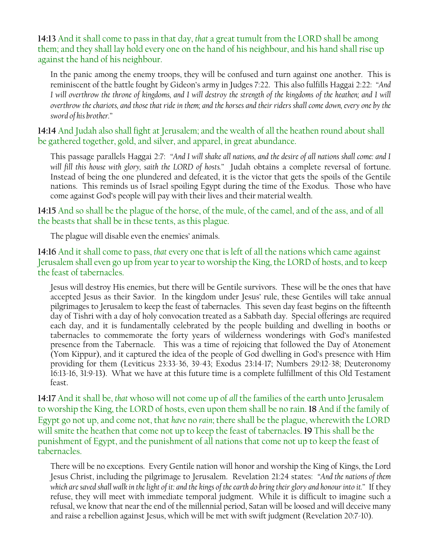**14:13** And it shall come to pass in that day, *that* a great tumult from the LORD shall be among them; and they shall lay hold every one on the hand of his neighbour, and his hand shall rise up against the hand of his neighbour.

In the panic among the enemy troops, they will be confused and turn against one another. This is reminiscent of the battle fought by Gideon's army in Judges 7:22. This also fulfills Haggai 2:22: *"And I* will overthrow the throne of kingdoms, and *I* will destroy the strength of the kingdoms of the heathen; and *I* will *overthrow the chariots, and those that ride in them; and the horses and their riders shall come down, every one by the sword of his brother."*

**14:14** And Judah also shall fight at Jerusalem; and the wealth of all the heathen round about shall be gathered together, gold, and silver, and apparel, in great abundance.

This passage parallels Haggai 2:7: *"And I will shake all nations, and the desire of all nations shall come: and I will fill this house with glory, saith the LORD of hosts."* Judah obtains a complete reversal of fortune. Instead of being the one plundered and defeated, it is the victor that gets the spoils of the Gentile nations. This reminds us of Israel spoiling Egypt during the time of the Exodus. Those who have come against God's people will pay with their lives and their material wealth.

**14:15** And so shall be the plague of the horse, of the mule, of the camel, and of the ass, and of all the beasts that shall be in these tents, as this plague.

The plague will disable even the enemies' animals.

**14:16** And it shall come to pass, *that* every one that is left of all the nations which came against Jerusalem shall even go up from year to year to worship the King, the LORD of hosts, and to keep the feast of tabernacles.

Jesus will destroy His enemies, but there will be Gentile survivors. These will be the ones that have accepted Jesus as their Savior. In the kingdom under Jesus' rule, these Gentiles will take annual pilgrimages to Jerusalem to keep the feast of tabernacles. This seven day feast begins on the fifteenth day of Tishri with a day of holy convocation treated as a Sabbath day. Special offerings are required each day, and it is fundamentally celebrated by the people building and dwelling in booths or tabernacles to commemorate the forty years of wilderness wonderings with God's manifested presence from the Tabernacle. This was a time of rejoicing that followed the Day of Atonement (Yom Kippur), and it captured the idea of the people of God dwelling in God's presence with Him providing for them (Leviticus 23:33-36, 39-43; Exodus 23:14-17; Numbers 29:12-38; Deuteronomy 16:13-16, 31:9-13). What we have at this future time is a complete fulfillment of this Old Testament feast.

**14:17** And it shall be, *that* whoso will not come up of *all* the families of the earth unto Jerusalem to worship the King, the LORD of hosts, even upon them shall be no rain. **18** And if the family of Egypt go not up, and come not, that *have* no *rain*; there shall be the plague, wherewith the LORD will smite the heathen that come not up to keep the feast of tabernacles. **19** This shall be the punishment of Egypt, and the punishment of all nations that come not up to keep the feast of tabernacles.

There will be no exceptions. Every Gentile nation will honor and worship the King of Kings, the Lord Jesus Christ, including the pilgrimage to Jerusalem. Revelation 21:24 states: *"And the nations of them which are saved shall walk in the light of it: and the kings of the earth do bring their glory and honour into it."* If they refuse, they will meet with immediate temporal judgment. While it is difficult to imagine such a refusal, we know that near the end of the millennial period, Satan will be loosed and will deceive many and raise a rebellion against Jesus, which will be met with swift judgment (Revelation 20:7-10).